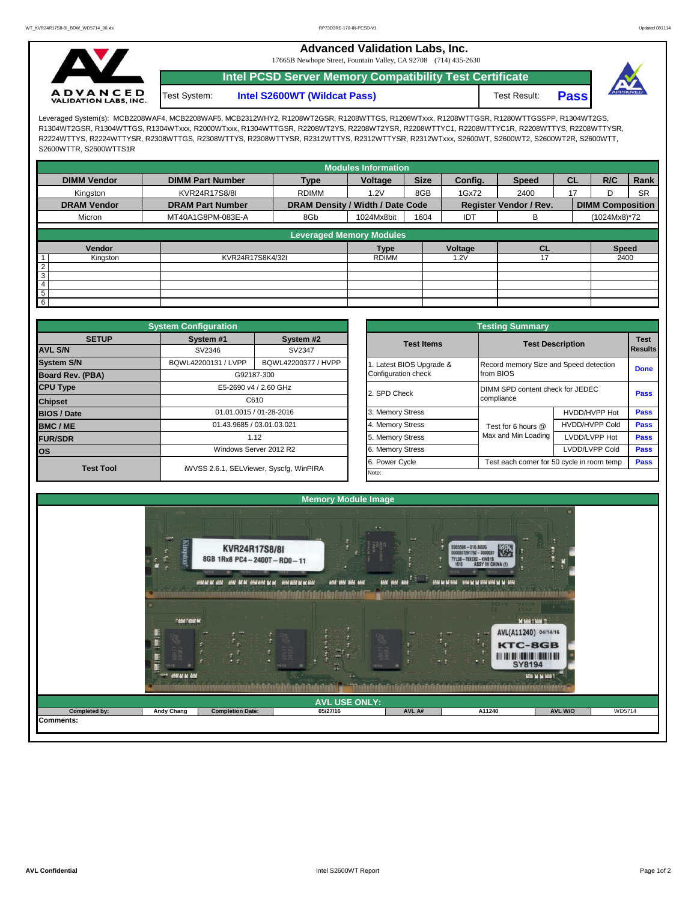**Advanced Validation Labs, Inc.** 

17665B Newhope Street, Fountain Valley, CA 92708 (714) 435-2630



**Intel PCSD Server Memory Compatibility Test Certificate** Test System: **Intel S2600WT (Wildcat Pass)** Test Result: **Pass** 



Leveraged System(s): MCB2208WAF4, MCB2208WAF5, MCB2312WHY2, R1208WT2GSR, R1208WTTGS, R1208WTxxx, R1208WTTGSR, R1280WTTGSSPP, R1304WT2GS, R1304WT2GSR, R1304WTTGS, R1304WTxxx, R2000WTxxx, R1304WTTGSR, R2208WT2YS, R2208WT2YSR, R2208WTTYC1, R2208WTTYC1R, R2208WTTYS, R2208WTTYSR, R2224WTTYS, R2224WTTYSR, R2308WTTGS, R2308WTTYS, R2308WTTYSR, R2312WTTYS, R2312WTTYSR, R2312WTxxx, S2600WT, S2600WT2, S2600WT2R, S2600WTT, S2600WTTR, S2600WTTS1R

|                    |                         |                                  | <b>Modules Information</b> |             |         |                               |           |                         |           |
|--------------------|-------------------------|----------------------------------|----------------------------|-------------|---------|-------------------------------|-----------|-------------------------|-----------|
| <b>DIMM Vendor</b> | <b>DIMM Part Number</b> | <b>Type</b>                      | Voltage                    | <b>Size</b> | Config. | <b>Speed</b>                  | <b>CL</b> | R/C                     | Rank      |
| Kingston           | KVR24R17S8/8I           | <b>RDIMM</b>                     | 1.2V                       | 8GB         | 1Gx72   | 2400                          | 17        |                         | <b>SR</b> |
| <b>DRAM Vendor</b> | <b>DRAM Part Number</b> | DRAM Density / Width / Date Code |                            |             |         | <b>Register Vendor / Rev.</b> |           | <b>DIMM Composition</b> |           |
| Micron             | MT40A1G8PM-083E-A       | 8Gb                              | 1024Mx8bit                 | 1604        | IDT     | в                             |           | (1024Mx8)*72            |           |
|                    |                         | <b>Leveraged Memory Modules</b>  |                            |             |         |                               |           |                         |           |
|                    |                         |                                  |                            |             |         |                               |           |                         |           |
| Vendor             |                         |                                  | <b>Type</b>                |             | Voltage | <b>CL</b>                     |           | <b>Speed</b>            |           |
| Kingston           | KVR24R17S8K4/32I        |                                  | <b>RDIMM</b>               |             | 1.2V    | 17                            |           | 2400                    |           |
| $\overline{2}$     |                         |                                  |                            |             |         |                               |           |                         |           |
| $\overline{3}$     |                         |                                  |                            |             |         |                               |           |                         |           |
| $\overline{4}$     |                         |                                  |                            |             |         |                               |           |                         |           |
| 5                  |                         |                                  |                            |             |         |                               |           |                         |           |
| 6                  |                         |                                  |                            |             |         |                               |           |                         |           |

|                                | <b>System Configuration</b> |                                         | <b>Testing Summary</b>   |                                                 |                                                     |                        |  |  |  |  |  |
|--------------------------------|-----------------------------|-----------------------------------------|--------------------------|-------------------------------------------------|-----------------------------------------------------|------------------------|--|--|--|--|--|
| <b>SETUP</b><br><b>AVL S/N</b> | System #1<br>SV2346         | System #2<br>SV2347                     | <b>Test Items</b>        |                                                 | <b>Test Description</b>                             | <b>Test</b><br>Results |  |  |  |  |  |
| <b>System S/N</b>              | BQWL42200131 / LVPP         | BQWL42200377 / HVPP                     | 1. Latest BIOS Upgrade & |                                                 | Record memory Size and Speed detection<br>from BIOS |                        |  |  |  |  |  |
| <b>Board Rev. (PBA)</b>        |                             | G92187-300                              | Configuration check      |                                                 |                                                     |                        |  |  |  |  |  |
| <b>CPU Type</b>                |                             | E5-2690 v4 / 2.60 GHz                   | 2. SPD Check             | DIMM SPD content check for JEDEC<br><b>Pass</b> |                                                     |                        |  |  |  |  |  |
| <b>Chipset</b>                 | C610                        |                                         |                          | compliance                                      |                                                     |                        |  |  |  |  |  |
| <b>BIOS / Date</b>             |                             | 01.01.0015 / 01-28-2016                 | 3. Memory Stress         |                                                 | HVDD/HVPP Hot                                       | <b>Pass</b>            |  |  |  |  |  |
| <b>BMC/ME</b>                  |                             | 01.43.9685 / 03.01.03.021               | 4. Memory Stress         | Test for 6 hours @                              | <b>HVDD/HVPP Cold</b>                               | <b>Pass</b>            |  |  |  |  |  |
| <b>FUR/SDR</b>                 |                             | 1.12                                    |                          | Max and Min Loading                             | LVDD/LVPP Hot                                       | <b>Pass</b>            |  |  |  |  |  |
| <b>los</b>                     | Windows Server 2012 R2      |                                         | 6. Memory Stress         |                                                 | LVDD/LVPP Cold                                      | <b>Pass</b>            |  |  |  |  |  |
| <b>Test Tool</b>               |                             | iWVSS 2.6.1, SELViewer, Syscfq, WinPIRA | 6. Power Cycle           | Test each corner for 50 cycle in room temp      | <b>Pass</b>                                         |                        |  |  |  |  |  |
|                                |                             |                                         | Note:                    |                                                 |                                                     |                        |  |  |  |  |  |

|              | <b>System Configuration</b>                                                            |                     |  |                                                              | <b>Testing Summary</b>                 |                                              |             |  |  |  |  |  |
|--------------|----------------------------------------------------------------------------------------|---------------------|--|--------------------------------------------------------------|----------------------------------------|----------------------------------------------|-------------|--|--|--|--|--|
| <b>SETUP</b> | System #1<br>SV2346                                                                    | System #2<br>SV2347 |  | <b>Test Items</b>                                            | <b>Test Description</b>                | <b>Test</b><br><b>Results</b><br><b>Done</b> |             |  |  |  |  |  |
|              | BQWL42200131 / LVPP                                                                    | BQWL42200377 / HVPP |  | Latest BIOS Upgrade &                                        | Record memory Size and Speed detection |                                              |             |  |  |  |  |  |
| PBA)         | G92187-300<br>E5-2690 v4 / 2.60 GHz                                                    |                     |  | Configuration check                                          | from BIOS                              |                                              |             |  |  |  |  |  |
|              | C610                                                                                   |                     |  | 2. SPD Check                                                 | DIMM SPD content check for JEDEC       | <b>Pass</b>                                  |             |  |  |  |  |  |
|              |                                                                                        |                     |  |                                                              | compliance                             |                                              |             |  |  |  |  |  |
|              | 01.01.0015 / 01-28-2016<br>01.43.9685 / 03.01.03.021<br>1.12<br>Windows Server 2012 R2 |                     |  | 3. Memory Stress                                             |                                        | HVDD/HVPP Hot                                | <b>Pass</b> |  |  |  |  |  |
|              |                                                                                        |                     |  | 4. Memory Stress                                             | Test for 6 hours @                     | <b>HVDD/HVPP Cold</b>                        | <b>Pass</b> |  |  |  |  |  |
|              |                                                                                        |                     |  | 5. Memory Stress                                             | Max and Min Loading                    | LVDD/LVPP Hot                                | <b>Pass</b> |  |  |  |  |  |
|              |                                                                                        |                     |  | 6. Memory Stress                                             |                                        | <b>Pass</b>                                  |             |  |  |  |  |  |
| est Tool     |                                                                                        |                     |  | 6. Power Cycle<br>Test each corner for 50 cycle in room temp |                                        |                                              |             |  |  |  |  |  |
|              | iWVSS 2.6.1, SELViewer, Syscfg, WinPIRA                                                |                     |  | Note:                                                        |                                        |                                              |             |  |  |  |  |  |